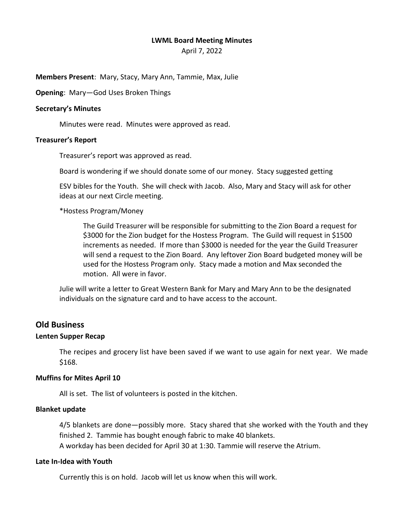### **LWML Board Meeting Minutes**

April 7, 2022

**Members Present**: Mary, Stacy, Mary Ann, Tammie, Max, Julie

**Opening**: Mary—God Uses Broken Things

## **Secretary's Minutes**

Minutes were read. Minutes were approved as read.

# **Treasurer's Report**

Treasurer's report was approved as read.

Board is wondering if we should donate some of our money. Stacy suggested getting

ESV bibles for the Youth. She will check with Jacob. Also, Mary and Stacy will ask for other ideas at our next Circle meeting.

# \*Hostess Program/Money

The Guild Treasurer will be responsible for submitting to the Zion Board a request for \$3000 for the Zion budget for the Hostess Program. The Guild will request in \$1500 increments as needed. If more than \$3000 is needed for the year the Guild Treasurer will send a request to the Zion Board. Any leftover Zion Board budgeted money will be used for the Hostess Program only. Stacy made a motion and Max seconded the motion. All were in favor.

Julie will write a letter to Great Western Bank for Mary and Mary Ann to be the designated individuals on the signature card and to have access to the account.

# **Old Business**

### **Lenten Supper Recap**

The recipes and grocery list have been saved if we want to use again for next year. We made \$168.

# **Muffins for Mites April 10**

All is set. The list of volunteers is posted in the kitchen.

### **Blanket update**

4/5 blankets are done—possibly more. Stacy shared that she worked with the Youth and they finished 2. Tammie has bought enough fabric to make 40 blankets. A workday has been decided for April 30 at 1:30. Tammie will reserve the Atrium.

# **Late In-Idea with Youth**

Currently this is on hold. Jacob will let us know when this will work.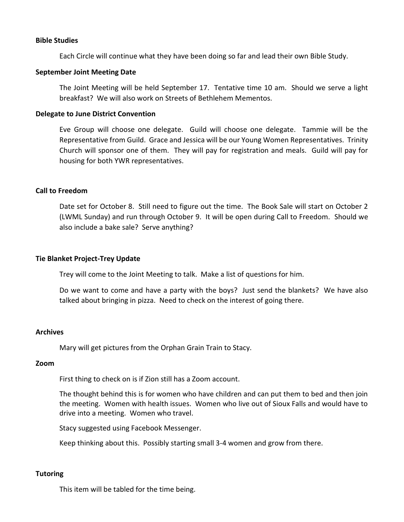### **Bible Studies**

Each Circle will continue what they have been doing so far and lead their own Bible Study.

## **September Joint Meeting Date**

The Joint Meeting will be held September 17. Tentative time 10 am. Should we serve a light breakfast? We will also work on Streets of Bethlehem Mementos.

# **Delegate to June District Convention**

Eve Group will choose one delegate. Guild will choose one delegate. Tammie will be the Representative from Guild. Grace and Jessica will be our Young Women Representatives. Trinity Church will sponsor one of them. They will pay for registration and meals. Guild will pay for housing for both YWR representatives.

# **Call to Freedom**

Date set for October 8. Still need to figure out the time. The Book Sale will start on October 2 (LWML Sunday) and run through October 9. It will be open during Call to Freedom. Should we also include a bake sale? Serve anything?

## **Tie Blanket Project-Trey Update**

Trey will come to the Joint Meeting to talk. Make a list of questions for him.

Do we want to come and have a party with the boys? Just send the blankets? We have also talked about bringing in pizza. Need to check on the interest of going there.

### **Archives**

Mary will get pictures from the Orphan Grain Train to Stacy.

### **Zoom**

First thing to check on is if Zion still has a Zoom account.

The thought behind this is for women who have children and can put them to bed and then join the meeting. Women with health issues. Women who live out of Sioux Falls and would have to drive into a meeting. Women who travel.

Stacy suggested using Facebook Messenger.

Keep thinking about this. Possibly starting small 3-4 women and grow from there.

### **Tutoring**

This item will be tabled for the time being.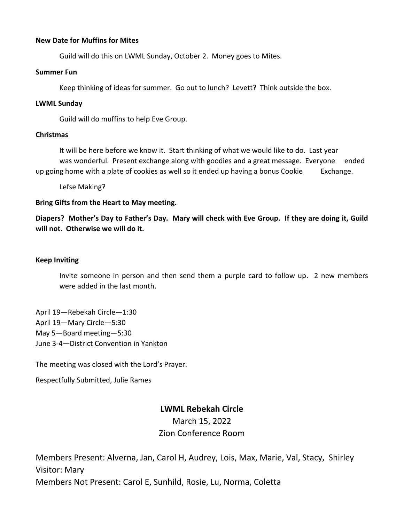# **New Date for Muffins for Mites**

Guild will do this on LWML Sunday, October 2. Money goes to Mites.

## **Summer Fun**

Keep thinking of ideas for summer. Go out to lunch? Levett? Think outside the box.

## **LWML Sunday**

Guild will do muffins to help Eve Group.

### **Christmas**

It will be here before we know it. Start thinking of what we would like to do. Last year was wonderful. Present exchange along with goodies and a great message. Everyone ended up going home with a plate of cookies as well so it ended up having a bonus Cookie Exchange.

Lefse Making?

# **Bring Gifts from the Heart to May meeting.**

**Diapers? Mother's Day to Father's Day. Mary will check with Eve Group. If they are doing it, Guild will not. Otherwise we will do it.** 

# **Keep Inviting**

Invite someone in person and then send them a purple card to follow up. 2 new members were added in the last month.

April 19—Rebekah Circle—1:30 April 19—Mary Circle—5:30 May 5—Board meeting—5:30 June 3-4—District Convention in Yankton

The meeting was closed with the Lord's Prayer.

Respectfully Submitted, Julie Rames

# **LWML Rebekah Circle**

March 15, 2022 Zion Conference Room

Members Present: Alverna, Jan, Carol H, Audrey, Lois, Max, Marie, Val, Stacy, Shirley Visitor: Mary Members Not Present: Carol E, Sunhild, Rosie, Lu, Norma, Coletta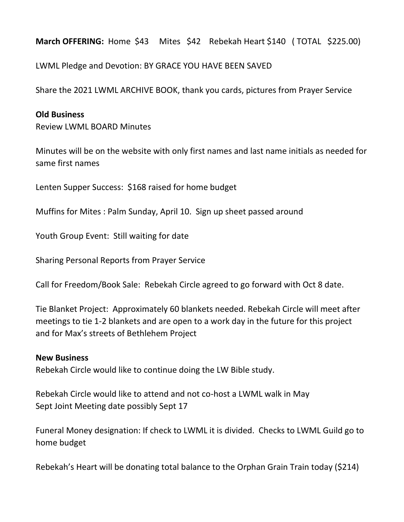**March OFFERING:** Home \$43 Mites \$42 Rebekah Heart \$140 ( TOTAL \$225.00)

LWML Pledge and Devotion: BY GRACE YOU HAVE BEEN SAVED

Share the 2021 LWML ARCHIVE BOOK, thank you cards, pictures from Prayer Service

# **Old Business**

Review LWML BOARD Minutes

Minutes will be on the website with only first names and last name initials as needed for same first names

Lenten Supper Success: \$168 raised for home budget

Muffins for Mites : Palm Sunday, April 10. Sign up sheet passed around

Youth Group Event: Still waiting for date

Sharing Personal Reports from Prayer Service

Call for Freedom/Book Sale: Rebekah Circle agreed to go forward with Oct 8 date.

Tie Blanket Project: Approximately 60 blankets needed. Rebekah Circle will meet after meetings to tie 1-2 blankets and are open to a work day in the future for this project and for Max's streets of Bethlehem Project

# **New Business**

Rebekah Circle would like to continue doing the LW Bible study.

Rebekah Circle would like to attend and not co-host a LWML walk in May Sept Joint Meeting date possibly Sept 17

Funeral Money designation: If check to LWML it is divided. Checks to LWML Guild go to home budget

Rebekah's Heart will be donating total balance to the Orphan Grain Train today (\$214)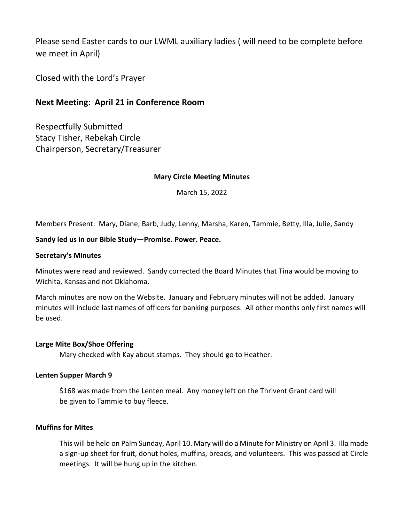Please send Easter cards to our LWML auxiliary ladies ( will need to be complete before we meet in April)

Closed with the Lord's Prayer

# **Next Meeting: April 21 in Conference Room**

Respectfully Submitted Stacy Tisher, Rebekah Circle Chairperson, Secretary/Treasurer

# **Mary Circle Meeting Minutes**

March 15, 2022

Members Present: Mary, Diane, Barb, Judy, Lenny, Marsha, Karen, Tammie, Betty, Illa, Julie, Sandy

# **Sandy led us in our Bible Study—Promise. Power. Peace.**

### **Secretary's Minutes**

Minutes were read and reviewed. Sandy corrected the Board Minutes that Tina would be moving to Wichita, Kansas and not Oklahoma.

March minutes are now on the Website. January and February minutes will not be added. January minutes will include last names of officers for banking purposes. All other months only first names will be used.

# **Large Mite Box/Shoe Offering**

Mary checked with Kay about stamps. They should go to Heather.

### **Lenten Supper March 9**

\$168 was made from the Lenten meal. Any money left on the Thrivent Grant card will be given to Tammie to buy fleece.

### **Muffins for Mites**

This will be held on Palm Sunday, April 10. Mary will do a Minute for Ministry on April 3. Illa made a sign-up sheet for fruit, donut holes, muffins, breads, and volunteers. This was passed at Circle meetings. It will be hung up in the kitchen.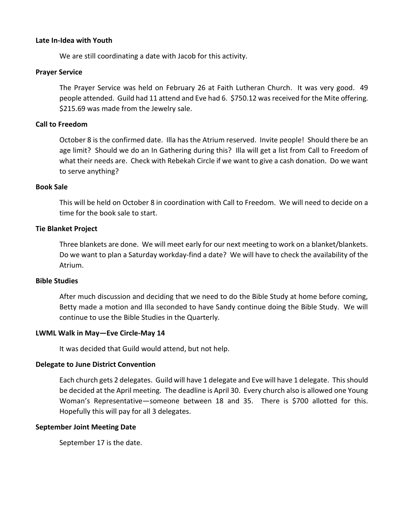# **Late In-Idea with Youth**

We are still coordinating a date with Jacob for this activity.

# **Prayer Service**

The Prayer Service was held on February 26 at Faith Lutheran Church. It was very good. 49 people attended. Guild had 11 attend and Eve had 6. \$750.12 was received for the Mite offering. \$215.69 was made from the Jewelry sale.

# **Call to Freedom**

October 8 is the confirmed date. Illa has the Atrium reserved. Invite people! Should there be an age limit? Should we do an In Gathering during this? Illa will get a list from Call to Freedom of what their needs are. Check with Rebekah Circle if we want to give a cash donation. Do we want to serve anything?

### **Book Sale**

This will be held on October 8 in coordination with Call to Freedom. We will need to decide on a time for the book sale to start.

# **Tie Blanket Project**

Three blankets are done. We will meet early for our next meeting to work on a blanket/blankets. Do we want to plan a Saturday workday-find a date? We will have to check the availability of the Atrium.

### **Bible Studies**

After much discussion and deciding that we need to do the Bible Study at home before coming, Betty made a motion and Illa seconded to have Sandy continue doing the Bible Study. We will continue to use the Bible Studies in the Quarterly.

### **LWML Walk in May—Eve Circle-May 14**

It was decided that Guild would attend, but not help.

# **Delegate to June District Convention**

Each church gets 2 delegates. Guild will have 1 delegate and Eve will have 1 delegate. This should be decided at the April meeting. The deadline is April 30. Every church also is allowed one Young Woman's Representative—someone between 18 and 35. There is \$700 allotted for this. Hopefully this will pay for all 3 delegates.

### **September Joint Meeting Date**

September 17 is the date.